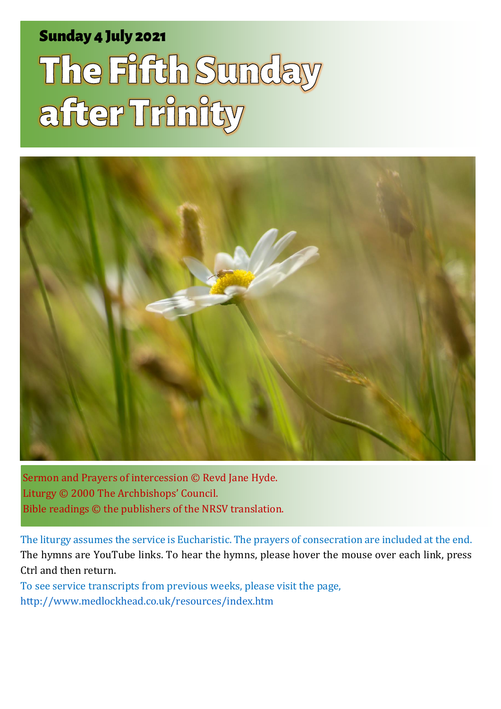# Sunday 4 July 2021 1 The Fifth Sunday 4 July 2021 1 The Figure Trinity of Sunday 4 July 2021

# The Fifth Sunday after Trinity



Sermon and Prayers of intercession © Revd Jane Hyde. Liturgy © 2000 The Archbishops' Council. Bible readings © the publishers of the NRSV translation.

The liturgy assumes the service is Eucharistic. The prayers of consecration are included at the end. The hymns are YouTube links. To hear the hymns, please hover the mouse over each link, press Ctrl and then return.

To see service transcripts from previous weeks, please visit the page, <http://www.medlockhead.co.uk/resources/index.htm>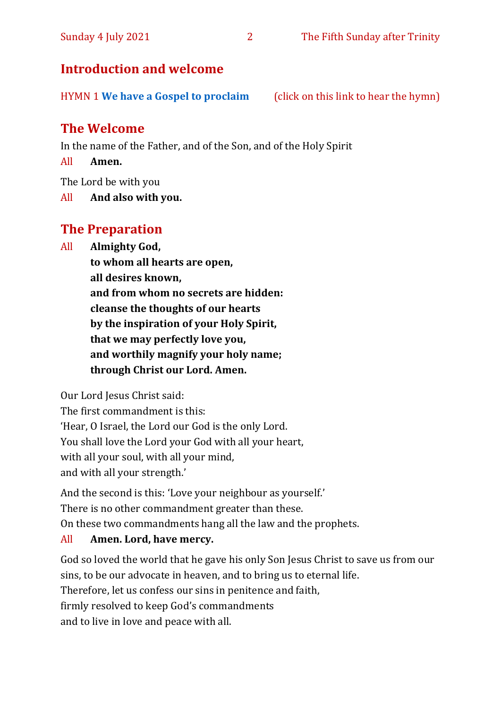# **Introduction and welcome**

HYMN 1 **[We have a Gospel to proclaim](https://www.youtube.com/watch?v=E-SPYAgCtkw)** (click on this link to hear the hymn)

# **The Welcome**

In the name of the Father, and of the Son, and of the Holy Spirit

All **Amen.**

The Lord be with you

All **And also with you.**

# **The Preparation**

All **Almighty God,**

**to whom all hearts are open, all desires known, and from whom no secrets are hidden: cleanse the thoughts of our hearts by the inspiration of your Holy Spirit, that we may perfectly love you, and worthily magnify your holy name; through Christ our Lord. Amen.**

Our Lord Jesus Christ said:

The first commandment is this: 'Hear, O Israel, the Lord our God is the only Lord. You shall love the Lord your God with all your heart, with all your soul, with all your mind, and with all your strength.'

And the second is this: 'Love your neighbour as yourself.' There is no other commandment greater than these. On these two commandments hang all the law and the prophets.

#### All **Amen. Lord, have mercy.**

God so loved the world that he gave his only Son Jesus Christ to save us from our sins, to be our advocate in heaven, and to bring us to eternal life. Therefore, let us confess our sins in penitence and faith, firmly resolved to keep God's commandments and to live in love and peace with all.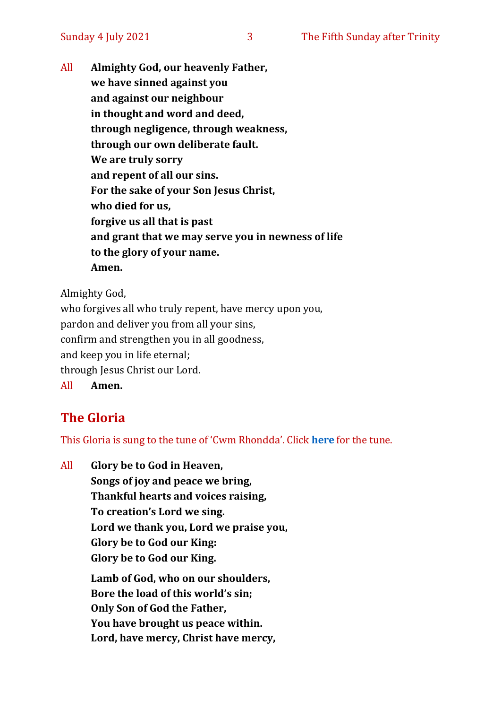All **Almighty God, our heavenly Father, we have sinned against you and against our neighbour in thought and word and deed, through negligence, through weakness, through our own deliberate fault. We are truly sorry and repent of all our sins. For the sake of your Son Jesus Christ, who died for us, forgive us all that is past and grant that we may serve you in newness of life to the glory of your name. Amen.**

Almighty God,

who forgives all who truly repent, have mercy upon you, pardon and deliver you from all your sins, confirm and strengthen you in all goodness, and keep you in life eternal; through Jesus Christ our Lord. All **Amen.**

# **The Gloria**

This Gloria is sung to the tune of 'Cwm Rhondda'. Click **[here](about:blank)** for the tune.

All **Glory be to God in Heaven, Songs of joy and peace we bring, Thankful hearts and voices raising, To creation's Lord we sing. Lord we thank you, Lord we praise you, Glory be to God our King: Glory be to God our King. Lamb of God, who on our shoulders, Bore the load of this world's sin; Only Son of God the Father, You have brought us peace within. Lord, have mercy, Christ have mercy,**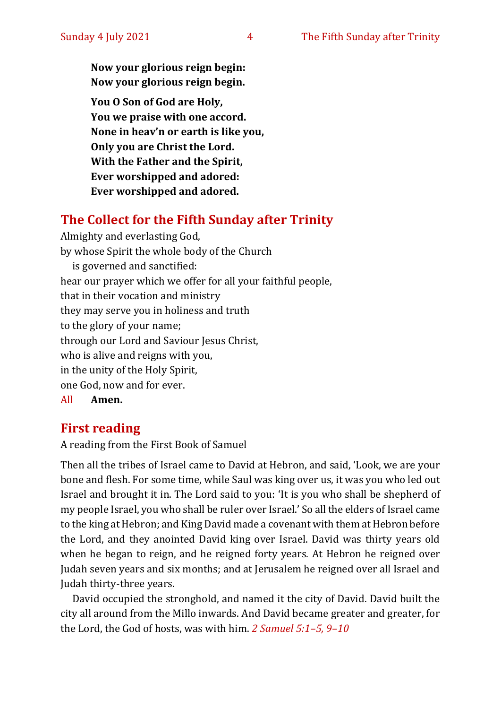**Now your glorious reign begin: Now your glorious reign begin.**

**You O Son of God are Holy, You we praise with one accord. None in heav'n or earth is like you, Only you are Christ the Lord. With the Father and the Spirit, Ever worshipped and adored: Ever worshipped and adored.**

# **The Collect for the Fifth Sunday after Trinity**

Almighty and everlasting God, by whose Spirit the whole body of the Church is governed and sanctified: hear our prayer which we offer for all your faithful people, that in their vocation and ministry they may serve you in holiness and truth to the glory of your name; through our Lord and Saviour Jesus Christ, who is alive and reigns with you, in the unity of the Holy Spirit, one God, now and for ever. All **Amen.**

#### **First reading**

A reading from the First Book of Samuel

Then all the tribes of Israel came to David at Hebron, and said, 'Look, we are your bone and flesh. For some time, while Saul was king over us, it was you who led out Israel and brought it in. The Lord said to you: 'It is you who shall be shepherd of my people Israel, you who shall be ruler over Israel.' So all the elders of Israel came to the king at Hebron; and King David made a covenant with them at Hebron before the Lord, and they anointed David king over Israel. David was thirty years old when he began to reign, and he reigned forty years. At Hebron he reigned over Judah seven years and six months; and at Jerusalem he reigned over all Israel and Judah thirty-three years.

David occupied the stronghold, and named it the city of David. David built the city all around from the Millo inwards. And David became greater and greater, for the Lord, the God of hosts, was with him. *2 Samuel 5:1–5, 9–10*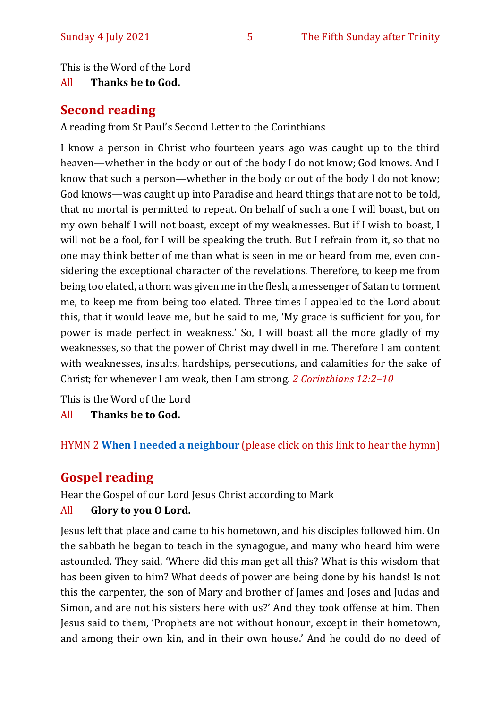This is the Word of the Lord

All **Thanks be to God.**

# **Second reading**

A reading from St Paul's Second Letter to the Corinthians

I know a person in Christ who fourteen years ago was caught up to the third heaven—whether in the body or out of the body I do not know; God knows. And I know that such a person—whether in the body or out of the body I do not know; God knows—was caught up into Paradise and heard things that are not to be told, that no mortal is permitted to repeat. On behalf of such a one I will boast, but on my own behalf I will not boast, except of my weaknesses. But if I wish to boast, I will not be a fool, for I will be speaking the truth. But I refrain from it, so that no one may think better of me than what is seen in me or heard from me, even considering the exceptional character of the revelations. Therefore, to keep me from being too elated, a thorn was given me in the flesh, a messenger of Satan to torment me, to keep me from being too elated. Three times I appealed to the Lord about this, that it would leave me, but he said to me, 'My grace is sufficient for you, for power is made perfect in weakness.' So, I will boast all the more gladly of my weaknesses, so that the power of Christ may dwell in me. Therefore I am content with weaknesses, insults, hardships, persecutions, and calamities for the sake of Christ; for whenever I am weak, then I am strong. *2 Corinthians 12:2–10*

This is the Word of the Lord

All **Thanks be to God.**

HYMN 2 **[When I needed a neighbour](https://www.youtube.com/watch?v=fExR7eOhJO0)** (please click on this link to hear the hymn)

# **Gospel reading**

Hear the Gospel of our Lord Jesus Christ according to Mark

#### All **Glory to you O Lord.**

Jesus left that place and came to his hometown, and his disciples followed him. On the sabbath he began to teach in the synagogue, and many who heard him were astounded. They said, 'Where did this man get all this? What is this wisdom that has been given to him? What deeds of power are being done by his hands! Is not this the carpenter, the son of Mary and brother of James and Joses and Judas and Simon, and are not his sisters here with us?' And they took offense at him. Then Jesus said to them, 'Prophets are not without honour, except in their hometown, and among their own kin, and in their own house.' And he could do no deed of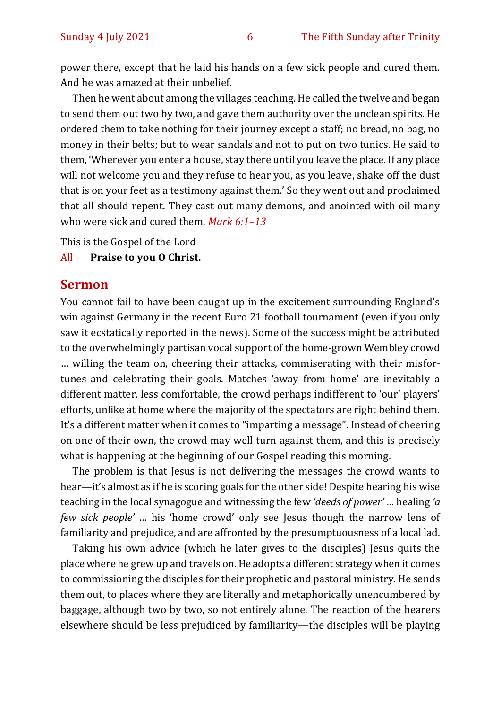power there, except that he laid his hands on a few sick people and cured them. And he was amazed at their unbelief.

Then he went about among the villages teaching. He called the twelve and began to send them out two by two, and gave them authority over the unclean spirits. He ordered them to take nothing for their journey except a staff; no bread, no bag, no money in their belts; but to wear sandals and not to put on two tunics. He said to them, 'Wherever you enter a house, stay there until you leave the place. If any place will not welcome you and they refuse to hear you, as you leave, shake off the dust that is on your feet as a testimony against them.' So they went out and proclaimed that all should repent. They cast out many demons, and anointed with oil many who were sick and cured them. *Mark 6:1–13*

This is the Gospel of the Lord

#### All **Praise to you O Christ.**

#### **Sermon**

You cannot fail to have been caught up in the excitement surrounding England's win against Germany in the recent Euro 21 football tournament (even if you only saw it ecstatically reported in the news). Some of the success might be attributed to the overwhelmingly partisan vocal support of the home-grown Wembley crowd … willing the team on, cheering their attacks, commiserating with their misfortunes and celebrating their goals. Matches 'away from home' are inevitably a different matter, less comfortable, the crowd perhaps indifferent to 'our' players' efforts, unlike at home where the majority of the spectators are right behind them. It's a different matter when it comes to "imparting a message". Instead of cheering on one of their own, the crowd may well turn against them, and this is precisely what is happening at the beginning of our Gospel reading this morning.

The problem is that Jesus is not delivering the messages the crowd wants to hear—it's almost as if he is scoring goals for the other side! Despite hearing his wise teaching in the local synagogue and witnessing the few *'deeds of power' …* healing *'a few sick people' …* his 'home crowd' only see Jesus though the narrow lens of familiarity and prejudice, and are affronted by the presumptuousness of a local lad.

Taking his own advice (which he later gives to the disciples) Jesus quits the place where he grew up and travels on. He adopts a different strategy when it comes to commissioning the disciples for their prophetic and pastoral ministry. He sends them out, to places where they are literally and metaphorically unencumbered by baggage, although two by two, so not entirely alone. The reaction of the hearers elsewhere should be less prejudiced by familiarity—the disciples will be playing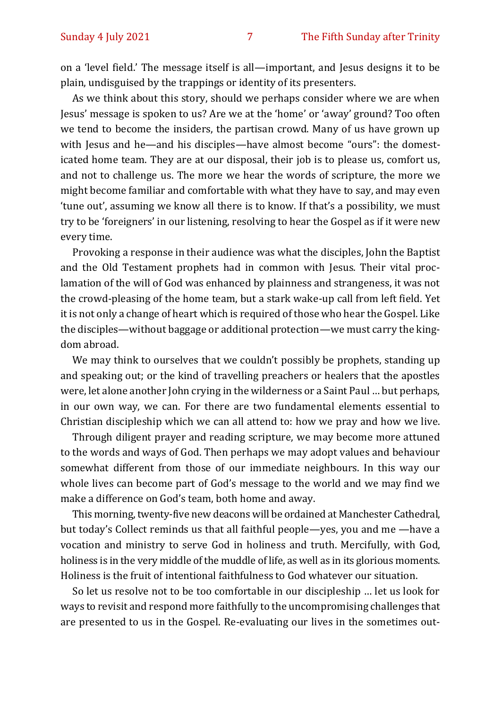on a 'level field.' The message itself is all—important, and Jesus designs it to be plain, undisguised by the trappings or identity of its presenters.

As we think about this story, should we perhaps consider where we are when Jesus' message is spoken to us? Are we at the 'home' or 'away' ground? Too often we tend to become the insiders, the partisan crowd. Many of us have grown up with Jesus and he—and his disciples—have almost become "ours": the domesticated home team. They are at our disposal, their job is to please us, comfort us, and not to challenge us. The more we hear the words of scripture, the more we might become familiar and comfortable with what they have to say, and may even 'tune out', assuming we know all there is to know. If that's a possibility, we must try to be 'foreigners' in our listening, resolving to hear the Gospel as if it were new every time.

Provoking a response in their audience was what the disciples, John the Baptist and the Old Testament prophets had in common with Jesus. Their vital proclamation of the will of God was enhanced by plainness and strangeness, it was not the crowd-pleasing of the home team, but a stark wake-up call from left field. Yet it is not only a change of heart which is required of those who hear the Gospel. Like the disciples—without baggage or additional protection—we must carry the kingdom abroad.

We may think to ourselves that we couldn't possibly be prophets, standing up and speaking out; or the kind of travelling preachers or healers that the apostles were, let alone another John crying in the wilderness or a Saint Paul … but perhaps, in our own way, we can. For there are two fundamental elements essential to Christian discipleship which we can all attend to: how we pray and how we live.

Through diligent prayer and reading scripture, we may become more attuned to the words and ways of God. Then perhaps we may adopt values and behaviour somewhat different from those of our immediate neighbours. In this way our whole lives can become part of God's message to the world and we may find we make a difference on God's team, both home and away.

This morning, twenty-five new deacons will be ordained at Manchester Cathedral, but today's Collect reminds us that all faithful people—yes, you and me —have a vocation and ministry to serve God in holiness and truth. Mercifully, with God, holiness is in the very middle of the muddle of life, as well as in its glorious moments. Holiness is the fruit of intentional faithfulness to God whatever our situation.

So let us resolve not to be too comfortable in our discipleship … let us look for ways to revisit and respond more faithfully to the uncompromising challenges that are presented to us in the Gospel. Re-evaluating our lives in the sometimes out-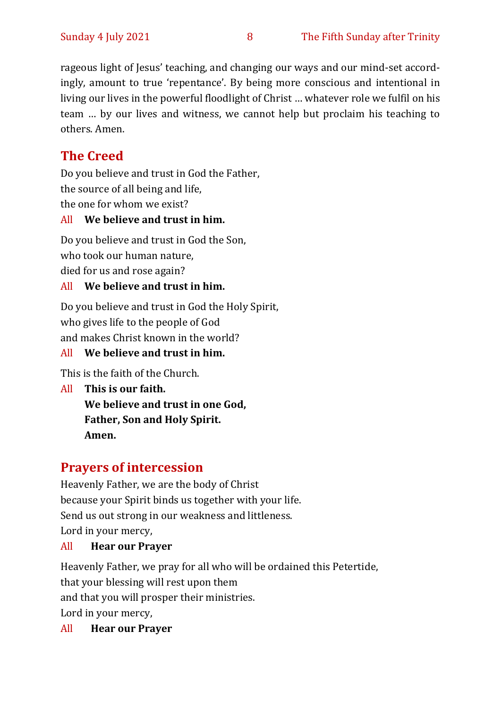rageous light of Jesus' teaching, and changing our ways and our mind-set accordingly, amount to true 'repentance'. By being more conscious and intentional in living our lives in the powerful floodlight of Christ … whatever role we fulfil on his team … by our lives and witness, we cannot help but proclaim his teaching to others. Amen.

# **The Creed**

Do you believe and trust in God the Father, the source of all being and life, the one for whom we exist?

#### All **We believe and trust in him.**

Do you believe and trust in God the Son, who took our human nature, died for us and rose again?

#### All **We believe and trust in him.**

Do you believe and trust in God the Holy Spirit, who gives life to the people of God and makes Christ known in the world?

#### All **We believe and trust in him.**

This is the faith of the Church.

All **This is our faith. We believe and trust in one God, Father, Son and Holy Spirit. Amen.**

# **Prayers of intercession**

Heavenly Father, we are the body of Christ because your Spirit binds us together with your life. Send us out strong in our weakness and littleness. Lord in your mercy,

#### All **Hear our Prayer**

Heavenly Father, we pray for all who will be ordained this Petertide, that your blessing will rest upon them and that you will prosper their ministries. Lord in your mercy,

#### All **Hear our Prayer**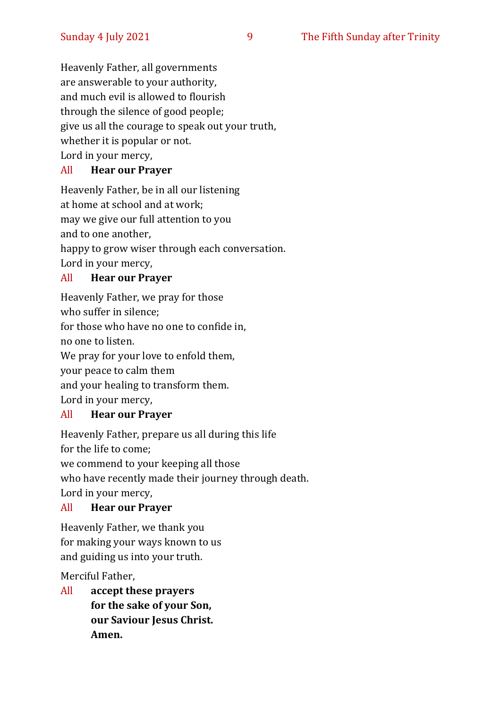Heavenly Father, all governments are answerable to your authority, and much evil is allowed to flourish through the silence of good people; give us all the courage to speak out your truth, whether it is popular or not. Lord in your mercy,

#### All **Hear our Prayer**

Heavenly Father, be in all our listening at home at school and at work; may we give our full attention to you and to one another, happy to grow wiser through each conversation. Lord in your mercy,

#### All **Hear our Prayer**

Heavenly Father, we pray for those who suffer in silence; for those who have no one to confide in, no one to listen. We pray for your love to enfold them, your peace to calm them and your healing to transform them. Lord in your mercy, All **Hear our Prayer**

Heavenly Father, prepare us all during this life for the life to come; we commend to your keeping all those who have recently made their journey through death. Lord in your mercy,

#### All **Hear our Prayer**

Heavenly Father, we thank you for making your ways known to us and guiding us into your truth.

Merciful Father,

All **accept these prayers for the sake of your Son, our Saviour Jesus Christ. Amen.**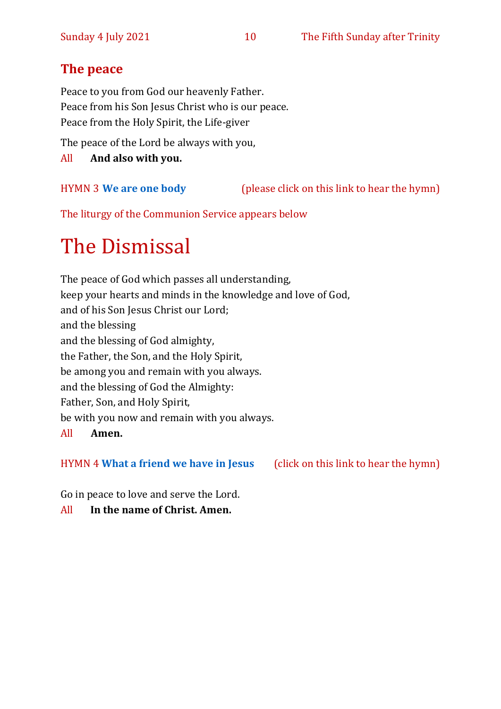# **The peace**

Peace to you from God our heavenly Father. Peace from his Son Jesus Christ who is our peace. Peace from the Holy Spirit, the Life-giver

The peace of the Lord be always with you,

#### All **And also with you.**

HYMN 3 **[We are one body](https://www.youtube.com/watch?v=jDRYEwNYOOM)** (please click on this link to hear the hymn)

The liturgy of the Communion Service appears below

# The Dismissal

The peace of God which passes all understanding, keep your hearts and minds in the knowledge and love of God, and of his Son Jesus Christ our Lord; and the blessing and the blessing of God almighty, the Father, the Son, and the Holy Spirit, be among you and remain with you always. and the blessing of God the Almighty: Father, Son, and Holy Spirit, be with you now and remain with you always. All **Amen.**

#### HYMN 4 **[What a friend we have in Jesus](https://www.youtube.com/watch?v=ivFVHRLZ8F8)** (click on this link to hear the hymn)

Go in peace to love and serve the Lord.

All **In the name of Christ. Amen.**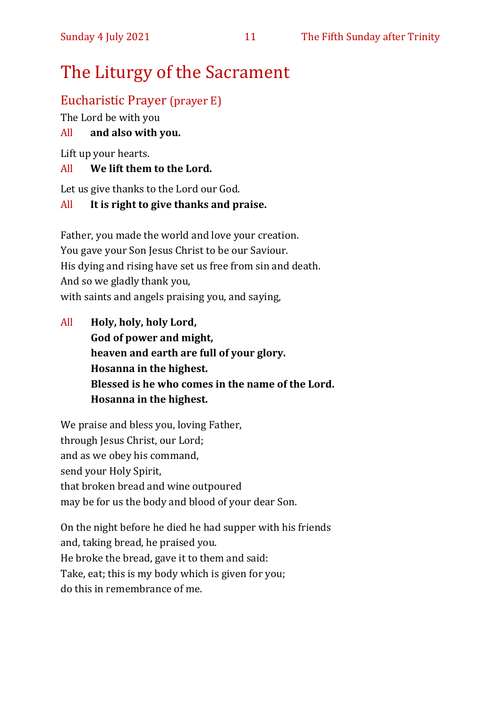# The Liturgy of the Sacrament

# Eucharistic Prayer (prayer E)

The Lord be with you

#### All **and also with you.**

Lift up your hearts.

#### All **We lift them to the Lord.**

Let us give thanks to the Lord our God.

#### All **It is right to give thanks and praise.**

Father, you made the world and love your creation. You gave your Son Jesus Christ to be our Saviour. His dying and rising have set us free from sin and death. And so we gladly thank you, with saints and angels praising you, and saying,

All **Holy, holy, holy Lord, God of power and might, heaven and earth are full of your glory. Hosanna in the highest. Blessed is he who comes in the name of the Lord. Hosanna in the highest.**

We praise and bless you, loving Father, through Jesus Christ, our Lord; and as we obey his command, send your Holy Spirit, that broken bread and wine outpoured may be for us the body and blood of your dear Son.

On the night before he died he had supper with his friends and, taking bread, he praised you. He broke the bread, gave it to them and said: Take, eat; this is my body which is given for you; do this in remembrance of me.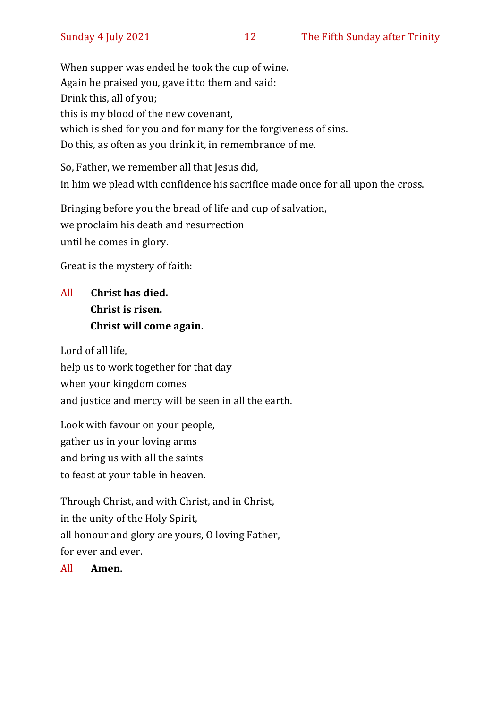When supper was ended he took the cup of wine. Again he praised you, gave it to them and said: Drink this, all of you; this is my blood of the new covenant, which is shed for you and for many for the forgiveness of sins. Do this, as often as you drink it, in remembrance of me.

So, Father, we remember all that Jesus did, in him we plead with confidence his sacrifice made once for all upon the cross.

Bringing before you the bread of life and cup of salvation, we proclaim his death and resurrection until he comes in glory.

Great is the mystery of faith:

# All **Christ has died. Christ is risen. Christ will come again.**

Lord of all life, help us to work together for that day when your kingdom comes and justice and mercy will be seen in all the earth.

Look with favour on your people, gather us in your loving arms and bring us with all the saints to feast at your table in heaven.

Through Christ, and with Christ, and in Christ, in the unity of the Holy Spirit, all honour and glory are yours, O loving Father, for ever and ever.

All **Amen.**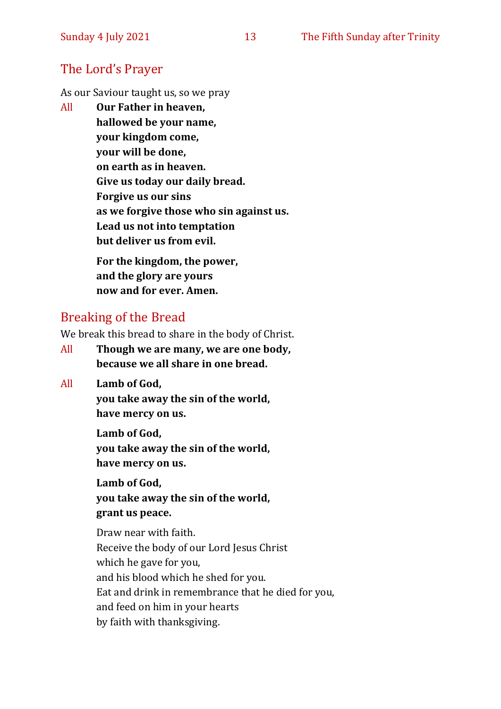# The Lord's Prayer

As our Saviour taught us, so we pray

All **Our Father in heaven, hallowed be your name, your kingdom come, your will be done, on earth as in heaven. Give us today our daily bread. Forgive us our sins as we forgive those who sin against us. Lead us not into temptation but deliver us from evil. For the kingdom, the power,** 

**and the glory are yours now and for ever. Amen.**

## Breaking of the Bread

We break this bread to share in the body of Christ.

- All **Though we are many, we are one body, because we all share in one bread.**
- All **Lamb of God,**

**you take away the sin of the world, have mercy on us.**

**Lamb of God, you take away the sin of the world, have mercy on us.**

**Lamb of God, you take away the sin of the world, grant us peace.**

Draw near with faith. Receive the body of our Lord Jesus Christ which he gave for you, and his blood which he shed for you. Eat and drink in remembrance that he died for you, and feed on him in your hearts by faith with thanksgiving.